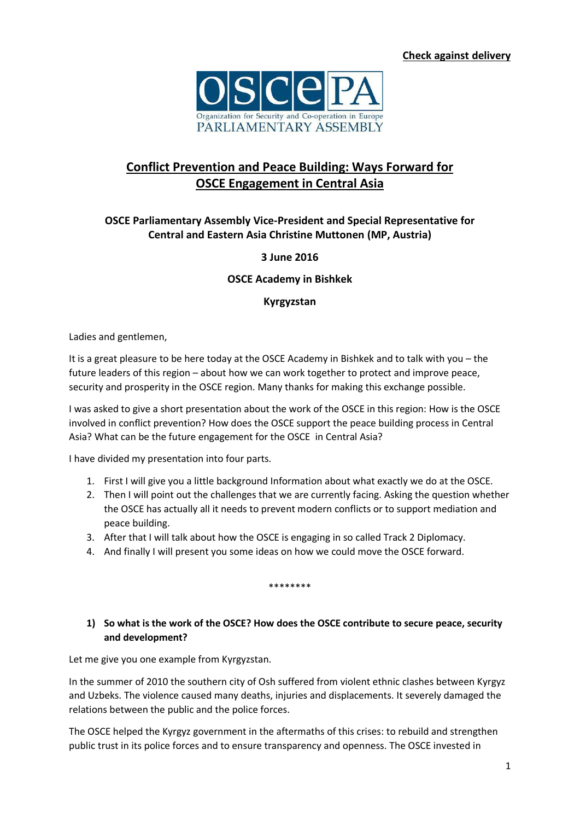

# **Conflict Prevention and Peace Building: Ways Forward for OSCE Engagement in Central Asia**

# **OSCE Parliamentary Assembly Vice-President and Special Representative for Central and Eastern Asia Christine Muttonen (MP, Austria)**

**3 June 2016**

#### **OSCE Academy in Bishkek**

#### **Kyrgyzstan**

Ladies and gentlemen,

It is a great pleasure to be here today at the OSCE Academy in Bishkek and to talk with you – the future leaders of this region – about how we can work together to protect and improve peace, security and prosperity in the OSCE region. Many thanks for making this exchange possible.

I was asked to give a short presentation about the work of the OSCE in this region: How is the OSCE involved in conflict prevention? How does the OSCE support the peace building process in Central Asia? What can be the future engagement for the OSCE in Central Asia?

I have divided my presentation into four parts.

- 1. First I will give you a little background Information about what exactly we do at the OSCE.
- 2. Then I will point out the challenges that we are currently facing. Asking the question whether the OSCE has actually all it needs to prevent modern conflicts or to support mediation and peace building.
- 3. After that I will talk about how the OSCE is engaging in so called Track 2 Diplomacy.
- 4. And finally I will present you some ideas on how we could move the OSCE forward.

\*\*\*\*\*\*\*

### **1) So what is the work of the OSCE? How does the OSCE contribute to secure peace, security and development?**

Let me give you one example from Kyrgyzstan.

In the summer of 2010 the southern city of Osh suffered from violent ethnic clashes between Kyrgyz and Uzbeks. The violence caused many deaths, injuries and displacements. It severely damaged the relations between the public and the police forces.

The OSCE helped the Kyrgyz government in the aftermaths of this crises: to rebuild and strengthen public trust in its police forces and to ensure transparency and openness. The OSCE invested in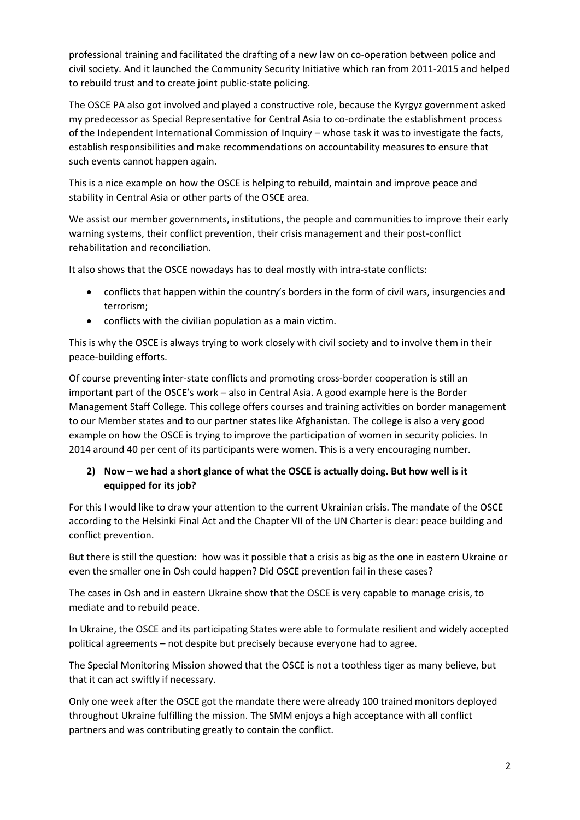professional training and facilitated the drafting of a new law on co-operation between police and civil society. And it launched the Community Security Initiative which ran from 2011-2015 and helped to rebuild trust and to create joint public-state policing.

The OSCE PA also got involved and played a constructive role, because the Kyrgyz government asked my predecessor as Special Representative for Central Asia to co-ordinate the establishment process of the Independent International Commission of Inquiry – whose task it was to investigate the facts, establish responsibilities and make recommendations on accountability measures to ensure that such events cannot happen again.

This is a nice example on how the OSCE is helping to rebuild, maintain and improve peace and stability in Central Asia or other parts of the OSCE area.

We assist our member governments, institutions, the people and communities to improve their early warning systems, their conflict prevention, their crisis management and their post-conflict rehabilitation and reconciliation.

It also shows that the OSCE nowadays has to deal mostly with intra-state conflicts:

- conflicts that happen within the country's borders in the form of civil wars, insurgencies and terrorism;
- conflicts with the civilian population as a main victim.

This is why the OSCE is always trying to work closely with civil society and to involve them in their peace-building efforts.

Of course preventing inter-state conflicts and promoting cross-border cooperation is still an important part of the OSCE's work – also in Central Asia. A good example here is the Border Management Staff College. This college offers courses and training activities on border management to our Member states and to our partner states like Afghanistan. The college is also a very good example on how the OSCE is trying to improve the participation of women in security policies. In 2014 around 40 per cent of its participants were women. This is a very encouraging number.

# **2) Now – we had a short glance of what the OSCE is actually doing. But how well is it equipped for its job?**

For this I would like to draw your attention to the current Ukrainian crisis. The mandate of the OSCE according to the Helsinki Final Act and the Chapter VII of the UN Charter is clear: peace building and conflict prevention.

But there is still the question: how was it possible that a crisis as big as the one in eastern Ukraine or even the smaller one in Osh could happen? Did OSCE prevention fail in these cases?

The cases in Osh and in eastern Ukraine show that the OSCE is very capable to manage crisis, to mediate and to rebuild peace.

In Ukraine, the OSCE and its participating States were able to formulate resilient and widely accepted political agreements – not despite but precisely because everyone had to agree.

The Special Monitoring Mission showed that the OSCE is not a toothless tiger as many believe, but that it can act swiftly if necessary.

Only one week after the OSCE got the mandate there were already 100 trained monitors deployed throughout Ukraine fulfilling the mission. The SMM enjoys a high acceptance with all conflict partners and was contributing greatly to contain the conflict.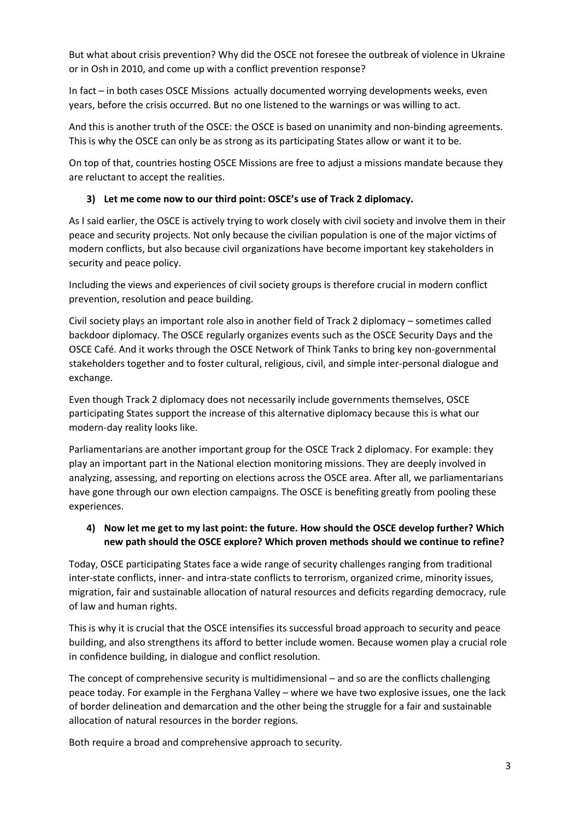But what about crisis prevention? Why did the OSCE not foresee the outbreak of violence in Ukraine or in Osh in 2010, and come up with a conflict prevention response?

In fact – in both cases OSCE Missions actually documented worrying developments weeks, even years, before the crisis occurred. But no one listened to the warnings or was willing to act.

And this is another truth of the OSCE: the OSCE is based on unanimity and non-binding agreements. This is why the OSCE can only be as strong as its participating States allow or want it to be.

On top of that, countries hosting OSCE Missions are free to adjust a missions mandate because they are reluctant to accept the realities.

### **3) Let me come now to our third point: OSCE's use of Track 2 diplomacy.**

As I said earlier, the OSCE is actively trying to work closely with civil society and involve them in their peace and security projects. Not only because the civilian population is one of the major victims of modern conflicts, but also because civil organizations have become important key stakeholders in security and peace policy.

Including the views and experiences of civil society groups is therefore crucial in modern conflict prevention, resolution and peace building.

Civil society plays an important role also in another field of Track 2 diplomacy – sometimes called backdoor diplomacy. The OSCE regularly organizes events such as the OSCE Security Days and the OSCE Café. And it works through the OSCE Network of Think Tanks to bring key non-governmental stakeholders together and to foster cultural, religious, civil, and simple inter-personal dialogue and exchange.

Even though Track 2 diplomacy does not necessarily include governments themselves, OSCE participating States support the increase of this alternative diplomacy because this is what our modern-day reality looks like.

Parliamentarians are another important group for the OSCE Track 2 diplomacy. For example: they play an important part in the National election monitoring missions. They are deeply involved in analyzing, assessing, and reporting on elections across the OSCE area. After all, we parliamentarians have gone through our own election campaigns. The OSCE is benefiting greatly from pooling these experiences.

### **4) Now let me get to my last point: the future. How should the OSCE develop further? Which new path should the OSCE explore? Which proven methods should we continue to refine?**

Today, OSCE participating States face a wide range of security challenges ranging from traditional inter-state conflicts, inner- and intra-state conflicts to terrorism, organized crime, minority issues, migration, fair and sustainable allocation of natural resources and deficits regarding democracy, rule of law and human rights.

This is why it is crucial that the OSCE intensifies its successful broad approach to security and peace building, and also strengthens its afford to better include women. Because women play a crucial role in confidence building, in dialogue and conflict resolution.

The concept of comprehensive security is multidimensional – and so are the conflicts challenging peace today. For example in the Ferghana Valley – where we have two explosive issues, one the lack of border delineation and demarcation and the other being the struggle for a fair and sustainable allocation of natural resources in the border regions.

Both require a broad and comprehensive approach to security.